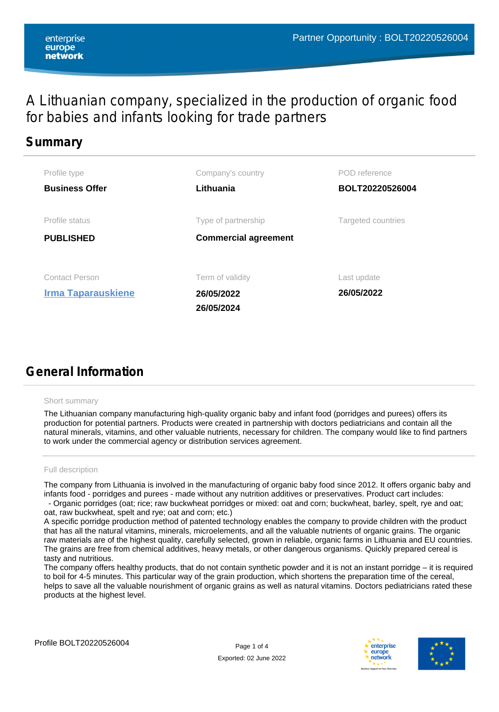## A Lithuanian company, specialized in the production of organic food for babies and infants looking for trade partners

## **Summary**

| Profile type<br><b>Business Offer</b>              | Company's country<br>Lithuania                     | POD reference<br>BOLT20220526004 |
|----------------------------------------------------|----------------------------------------------------|----------------------------------|
| Profile status<br><b>PUBLISHED</b>                 | Type of partnership<br><b>Commercial agreement</b> | <b>Targeted countries</b>        |
| <b>Contact Person</b><br><b>Irma Taparauskiene</b> | Term of validity<br>26/05/2022<br>26/05/2024       | Last update<br>26/05/2022        |

# **General Information**

#### Short summary

The Lithuanian company manufacturing high-quality organic baby and infant food (porridges and purees) offers its production for potential partners. Products were created in partnership with doctors pediatricians and contain all the natural minerals, vitamins, and other valuable nutrients, necessary for children. The company would like to find partners to work under the commercial agency or distribution services agreement.

#### Full description

The company from Lithuania is involved in the manufacturing of organic baby food since 2012. It offers organic baby and infants food - porridges and purees - made without any nutrition additives or preservatives. Product cart includes: - Organic porridges (oat; rice; raw buckwheat porridges or mixed: oat and corn; buckwheat, barley, spelt, rye and oat;

oat, raw buckwheat, spelt and rye; oat and corn; etc.) A specific porridge production method of patented technology enables the company to provide children with the product

that has all the natural vitamins, minerals, microelements, and all the valuable nutrients of organic grains. The organic raw materials are of the highest quality, carefully selected, grown in reliable, organic farms in Lithuania and EU countries. The grains are free from chemical additives, heavy metals, or other dangerous organisms. Quickly prepared cereal is tasty and nutritious.

The company offers healthy products, that do not contain synthetic powder and it is not an instant porridge – it is required to boil for 4-5 minutes. This particular way of the grain production, which shortens the preparation time of the cereal, helps to save all the valuable nourishment of organic grains as well as natural vitamins. Doctors pediatricians rated these products at the highest level.



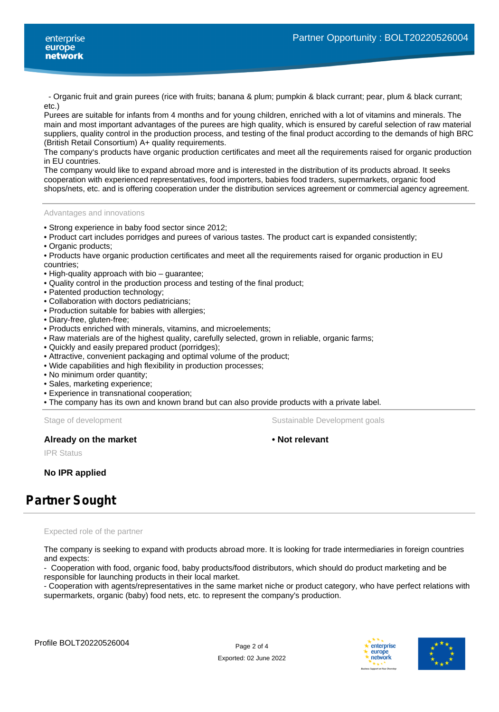- Organic fruit and grain purees (rice with fruits; banana & plum; pumpkin & black currant; pear, plum & black currant; etc.)

Purees are suitable for infants from 4 months and for young children, enriched with a lot of vitamins and minerals. The main and most important advantages of the purees are high quality, which is ensured by careful selection of raw material suppliers, quality control in the production process, and testing of the final product according to the demands of high BRC (British Retail Consortium) A+ quality requirements.

The company's products have organic production certificates and meet all the requirements raised for organic production in EU countries.

The company would like to expand abroad more and is interested in the distribution of its products abroad. It seeks cooperation with experienced representatives, food importers, babies food traders, supermarkets, organic food shops/nets, etc. and is offering cooperation under the distribution services agreement or commercial agency agreement.

Advantages and innovations

• Strong experience in baby food sector since 2012;

• Product cart includes porridges and purees of various tastes. The product cart is expanded consistently;

- Organic products;
- Products have organic production certificates and meet all the requirements raised for organic production in EU countries;
- High-quality approach with bio guarantee;
- Quality control in the production process and testing of the final product;
- Patented production technology;
- Collaboration with doctors pediatricians;
- Production suitable for babies with allergies;
- Diary-free, gluten-free;
- Products enriched with minerals, vitamins, and microelements;
- Raw materials are of the highest quality, carefully selected, grown in reliable, organic farms;
- Quickly and easily prepared product (porridges);
- Attractive, convenient packaging and optimal volume of the product;
- Wide capabilities and high flexibility in production processes;
- No minimum order quantity;
- Sales, marketing experience;
- Experience in transnational cooperation;
- The company has its own and known brand but can also provide products with a private label.

Stage of development The Sustainable Development goals

#### **Already on the market • Not relevant**

IPR Status

**No IPR applied**

# **Partner Sought**

Expected role of the partner

The company is seeking to expand with products abroad more. It is looking for trade intermediaries in foreign countries and expects:

- Cooperation with food, organic food, baby products/food distributors, which should do product marketing and be responsible for launching products in their local market.

- Cooperation with agents/representatives in the same market niche or product category, who have perfect relations with supermarkets, organic (baby) food nets, etc. to represent the company's production.



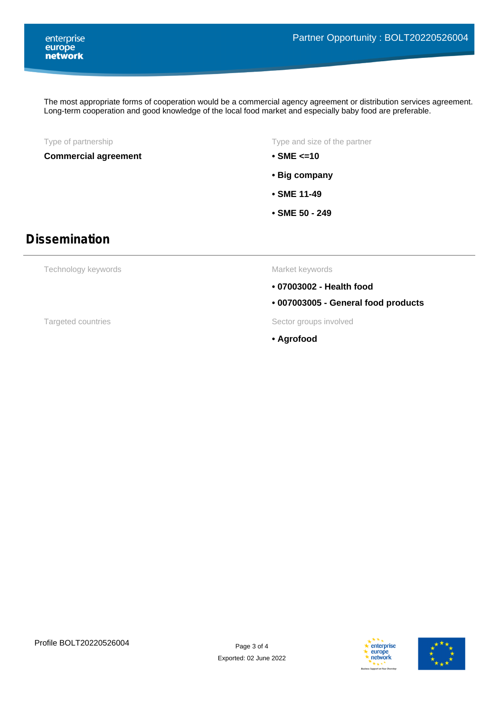The most appropriate forms of cooperation would be a commercial agency agreement or distribution services agreement. Long-term cooperation and good knowledge of the local food market and especially baby food are preferable.

### **Commercial agreement • SME <=10**

Type of partnership Type and size of the partner

- 
- **Big company**
- **SME 11-49**
- **SME 50 249**

## **Dissemination**

Technology keywords

Market keywords

- **07003002 Health food**
- **007003005 General food products**

Targeted countries Targeted countries and the Sector groups involved

**• Agrofood**